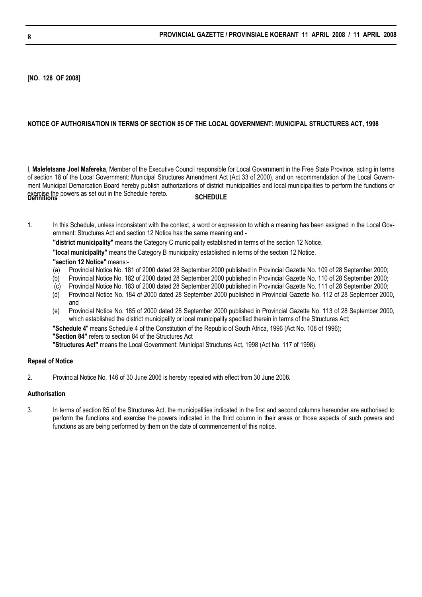**[NO. 128 OF 2008]**

#### **NOTICE OF AUTHORISATION IN TERMS OF SECTION 85 OF THE LOCAL GOVERNMENT: MUNICIPAL STRUCTURES ACT, 1998**

I, **Malefetsane Joel Mafereka**, Member of the Executive Council responsible for Local Government in the Free State Province, acting in terms of section 18 of the Local Government: Municipal Structures Amendment Act (Act 33 of 2000), and on recommendation of the Local Government Municipal Demarcation Board hereby publish authorizations of district municipalities and local municipalities to perform the functions or exercise the powers as set out in the Schedule hereto.<br>**Definitions SCHEDULE** 

1. In this Schedule, unless inconsistent with the context, a word or expression to which a meaning has been assigned in the Local Government: Structures Act and section 12 Notice has the same meaning and -

**"district municipality"** means the Category C municipality established in terms of the section 12 Notice.

**"local municipality"** means the Category B municipality established in terms of the section 12 Notice.

#### **"section 12 Notice"** means:-

- (a) Provincial Notice No. 181 of 2000 dated 28 September 2000 published in Provincial Gazette No. 109 of 28 September 2000;
- (b) Provincial Notice No. 182 of 2000 dated 28 September 2000 published in Provincial Gazette No. 110 of 28 September 2000;
- (c) Provincial Notice No. 183 of 2000 dated 28 September 2000 published in Provincial Gazette No. 111 of 28 September 2000;
- (d) Provincial Notice No. 184 of 2000 dated 28 September 2000 published in Provincial Gazette No. 112 of 28 September 2000, and
- (e) Provincial Notice No. 185 of 2000 dated 28 September 2000 published in Provincial Gazette No. 113 of 28 September 2000, which established the district municipality or local municipality specified therein in terms of the Structures Act;

**"Schedule 4**" means Schedule 4 of the Constitution of the Republic of South Africa, 1996 (Act No. 108 of 1996);

**"Section 84"** refers to section 84 of the Structures Act

**"Structures Act"** means the Local Government: Municipal Structures Act, 1998 (Act No. 117 of 1998).

#### **Repeal of Notice**

2. Provincial Notice No. 146 of 30 June 2006 is hereby repealed with effect from 30 June 2008**.** 

# **Authorisation**

3. In terms of section 85 of the Structures Act, the municipalities indicated in the first and second columns hereunder are authorised to perform the functions and exercise the powers indicated in the third column in their areas or those aspects of such powers and functions as are being performed by them on the date of commencement of this notice.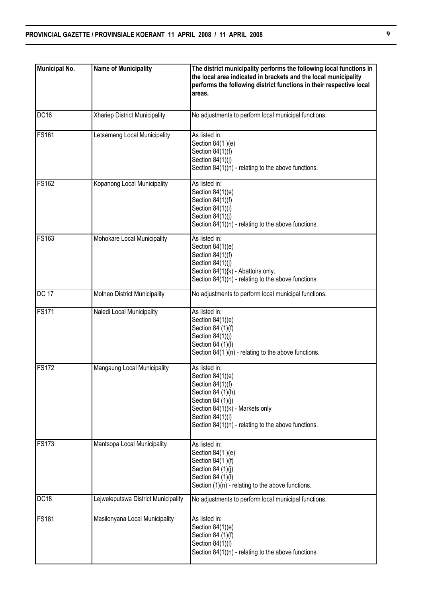| <b>Municipal No.</b> | <b>Name of Municipality</b>         | The district municipality performs the following local functions in<br>the local area indicated in brackets and the local municipality<br>performs the following district functions in their respective local<br>areas. |
|----------------------|-------------------------------------|-------------------------------------------------------------------------------------------------------------------------------------------------------------------------------------------------------------------------|
| DC16                 | Xhariep District Municipality       | No adjustments to perform local municipal functions.                                                                                                                                                                    |
| <b>FS161</b>         | Letsemeng Local Municipality        | As listed in:<br>Section 84(1)(e)<br>Section 84(1)(f)<br>Section 84(1)(j)<br>Section $84(1)(n)$ - relating to the above functions.                                                                                      |
| <b>FS162</b>         | Kopanong Local Municipality         | As listed in:<br>Section $84(1)(e)$<br>Section 84(1)(f)<br>Section 84(1)(i)<br>Section 84(1)(j)<br>Section 84(1)(n) - relating to the above functions.                                                                  |
| <b>FS163</b>         | Mohokare Local Municipality         | As listed in:<br>Section 84(1)(e)<br>Section 84(1)(f)<br>Section 84(1)(j)<br>Section 84(1){k) - Abattoirs only.<br>Section $84(1)(n)$ - relating to the above functions.                                                |
| <b>DC 17</b>         | Motheo District Municipality        | No adjustments to perform local municipal functions.                                                                                                                                                                    |
| <b>FS171</b>         | Naledi Local Municipality           | As listed in:<br>Section $84(1)(e)$<br>Section 84 (1)(f)<br>Section 84(1)(j)<br>Section 84 (1)(I)<br>Section 84(1)(n) - relating to the above functions.                                                                |
| <b>FS172</b>         | Mangaung Local Municipality         | As listed in:<br>Section $84(1)(e)$<br>Section $84(1)(f)$<br>Section 84 (1)(h)<br>Section 84 (1)(j)<br>Section 84(1)(k) - Markets only<br>Section 84(1)(l)<br>Section $84(1)(n)$ - relating to the above functions.     |
| <b>FS173</b>         | Mantsopa Local Municipality         | As listed in:<br>Section 84(1)(e)<br>Section 84(1)(f)<br>Section 84 (1)(j)<br>Section 84 (1)(l)<br>Section $(1)(n)$ - relating to the above functions.                                                                  |
| DC18                 | Lejweleputswa District Municipality | No adjustments to perform local municipal functions.                                                                                                                                                                    |
| <b>FS181</b>         | Masilonyana Local Municipality      | As listed in:<br>Section $84(1)(e)$<br>Section 84 (1)(f)<br>Section 84(1)(l)<br>Section $84(1)(n)$ - relating to the above functions.                                                                                   |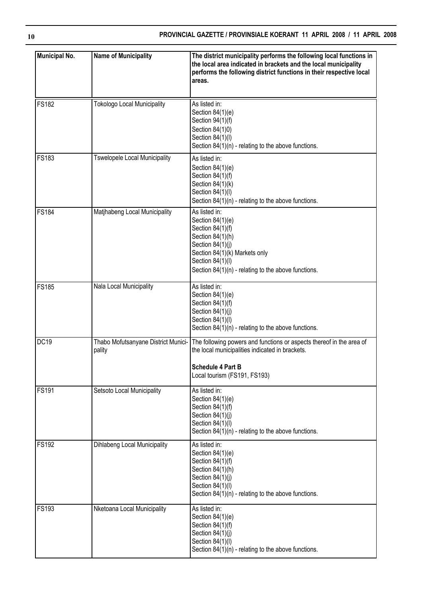| <b>Municipal No.</b> | <b>Name of Municipality</b>                   | The district municipality performs the following local functions in<br>the local area indicated in brackets and the local municipality<br>performs the following district functions in their respective local<br>areas. |
|----------------------|-----------------------------------------------|-------------------------------------------------------------------------------------------------------------------------------------------------------------------------------------------------------------------------|
| <b>FS182</b>         | <b>Tokologo Local Municipality</b>            | As listed in:<br>Section 84(1)(e)<br>Section 94(1)(f)<br>Section 84(1)0)<br>Section 84(1)(l)<br>Section $84(1)(n)$ - relating to the above functions.                                                                   |
| <b>FS183</b>         | <b>Tswelopele Local Municipality</b>          | As listed in:<br>Section 84(1)(e)<br>Section 84(1)(f)<br>Section 84(1)(k)<br>Section 84(1)(l)<br>Section $84(1)(n)$ - relating to the above functions.                                                                  |
| <b>FS184</b>         | Matjhabeng Local Municipality                 | As listed in:<br>Section 84(1)(e)<br>Section 84(1)(f)<br>Section 84(1)(h)<br>Section 84(1)(j)<br>Section 84(1)(k) Markets only<br>Section 84(1)(l)<br>Section $84(1)(n)$ - relating to the above functions.             |
| <b>FS185</b>         | Nala Local Municipality                       | As listed in:<br>Section 84(1)(e)<br>Section 84(1)(f)<br>Section 84(1)(j)<br>Section 84(1)(l)<br>Section $84(1)(n)$ - relating to the above functions.                                                                  |
| DC <sub>19</sub>     | Thabo Mofutsanyane District Munici-<br>pality | The following powers and functions or aspects thereof in the area of<br>the local municipalities indicated in brackets.<br><b>Schedule 4 Part B</b><br>Local tourism (FS191, FS193)                                     |
| <b>FS191</b>         | Setsoto Local Municipality                    | As listed in:<br>Section 84(1)(e)<br>Section 84(1)(f)<br>Section 84(1)(j)<br>Section 84(1)(I)<br>Section $84(1)(n)$ - relating to the above functions.                                                                  |
| <b>FS192</b>         | Dihlabeng Local Municipality                  | As listed in:<br>Section 84(1)(e)<br>Section 84(1)(f)<br>Section 84(1)(h)<br>Section 84(1)(j)<br>Section 84(1)(l)<br>Section $84(1)(n)$ - relating to the above functions.                                              |
| <b>FS193</b>         | Nketoana Local Municipality                   | As listed in:<br>Section 84(1)(e)<br>Section 84(1)(f)<br>Section 84(1)(j)<br>Section 84(1)(l)<br>Section $84(1)(n)$ - relating to the above functions.                                                                  |